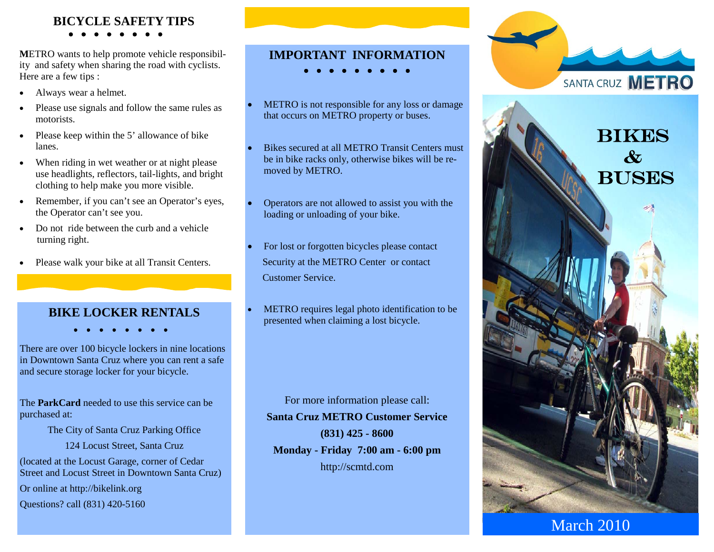## **BICYCLE SAFETY TIPS**

**M**ETRO wants to help promote vehicle responsibility and safety when sharing the road with cyclists. Here are a few tips :

- . Always wear a helmet.
- . Please use signals and follow the same rules as motorists.
- . Please keep within the 5' allowance of bike lanes.
- . When riding in wet weather or at night please use headlights, reflectors, tail-lights, and bright clothing to help make you more visible.
- . Remember, if you can't see an Operator's eyes, the Operator can't see you.
- . Do not ride between the curb and a vehicle turning right.
- . Please walk your bike at all Transit Centers.

## **BIKE LOCKER RENTALS**

There are over 100 bicycle lockers in nine locations in Downtown Santa Cruz where you can rent a safe and secure storage locker for your bicycle.

The **ParkCard** needed to use this service can be purchased at:

The City of Santa Cruz Parking Office

124 Locust Street, Santa Cruz

(located at the Locust Garage, corner of Cedar Street and Locust Street in Downtown Santa Cruz)

Or online at http://bikelink.org

Questions? call (831) 420-5160

## **IMPORTANT INFORMATION**

- $\begin{array}{cccccccccccccc} \bullet & \bullet & \bullet & \bullet & \bullet & \bullet \end{array}$
- 0 METRO is not responsible for any loss or damage that occurs on METRO property or buses.
- 0 Bikes secured at all METRO Transit Centers must be in bike racks only, otherwise bikes will be removed by METRO.
- 0 Operators are not allowed to assist you with the loading or unloading of your bike.
- 0 For lost or forgotten bicycles please contact Security at the METRO Center or contact Customer Service.
- 0 METRO requires legal photo identification to be presented when claiming a lost bicycle.

For more information please call: **Santa Cruz METRO Customer Service (831) 425 - 8600 Monday - Friday 7:00 am - 6:00 pm**  http://scmtd.com



March 2010